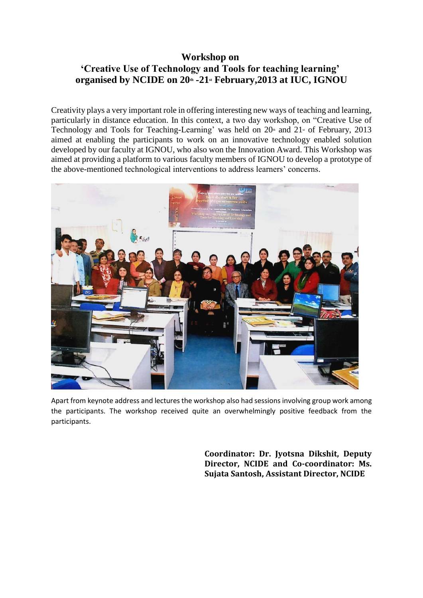## **Workshop on 'Creative Use of Technology and Tools for teaching learning' organised by NCIDE on 20th -21st February,2013 at IUC, IGNOU**

Creativity plays a very important role in offering interesting new ways of teaching and learning, particularly in distance education. In this context, a two day workshop, on "Creative Use of Technology and Tools for Teaching-Learning' was held on  $20<sup>th</sup>$  and  $21<sup>st</sup>$  of February, 2013 aimed at enabling the participants to work on an innovative technology enabled solution developed by our faculty at IGNOU, who also won the Innovation Award. This Workshop was aimed at providing a platform to various faculty members of IGNOU to develop a prototype of the above-mentioned technological interventions to address learners' concerns.



Apart from keynote address and lectures the workshop also had sessions involving group work among the participants. The workshop received quite an overwhelmingly positive feedback from the participants.

> **Coordinator: Dr. Jyotsna Dikshit, Deputy Director, NCIDE and Co-coordinator: Ms. Sujata Santosh, Assistant Director, NCIDE**